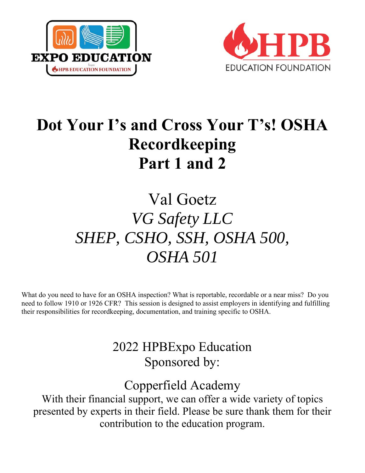



# **Dot Your I's and Cross Your T's! OSHA Recordkeeping Part 1 and 2**

# Val Goetz *VG Safety LLC SHEP, CSHO, SSH, OSHA 500, OSHA 501*

What do you need to have for an OSHA inspection? What is reportable, recordable or a near miss? Do you need to follow 1910 or 1926 CFR? This session is designed to assist employers in identifying and fulfilling their responsibilities for recordkeeping, documentation, and training specific to OSHA.

## 2022 HPBExpo Education Sponsored by:

## Copperfield Academy

With their financial support, we can offer a wide variety of topics presented by experts in their field. Please be sure thank them for their contribution to the education program.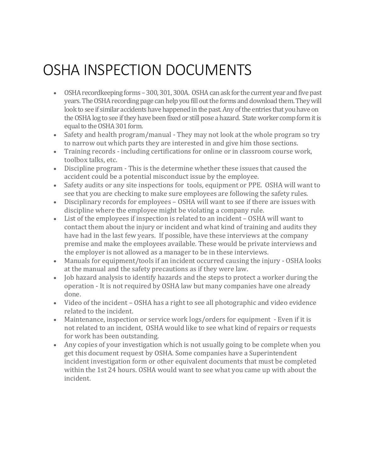# OSHA INSPECTION DOCUMENTS

- OSHA recordkeeping forms 300, 301, 300A. OSHA can ask for the current year and five past years. The OSHA recording page can help you fill out the forms and download them. They will look to see if similar accidents have happened in the past. Any of the entries that you have on the OSHA log to see if they have been fixed or still pose a hazard. State worker comp form it is equal to the OSHA 301 form.
- Safety and health program/manual They may not look at the whole program so try to narrow out which parts they are interested in and give him those sections.
- Training records including certifications for online or in classroom course work, toolbox talks, etc.
- Discipline program This is the determine whether these issues that caused the accident could be a potential misconduct issue by the employee.
- Safety audits or any site inspections for tools, equipment or PPE. OSHA will want to see that you are checking to make sure employees are following the safety rules.
- Disciplinary records for employees OSHA will want to see if there are issues with discipline where the employee might be violating a company rule.
- List of the employees if inspection is related to an incident OSHA will want to contact them about the injury or incident and what kind of training and audits they have had in the last few years. If possible, have these interviews at the company premise and make the employees available. These would be private interviews and the employer is not allowed as a manager to be in these interviews.
- Manuals for equipment/tools if an incident occurred causing the injury OSHA looks at the manual and the safety precautions as if they were law.
- Job hazard analysis to identify hazards and the steps to protect a worker during the operation - It is not required by OSHA law but many companies have one already done.
- Video of the incident OSHA has a right to see all photographic and video evidence related to the incident.
- Maintenance, inspection or service work logs/orders for equipment Even if it is not related to an incident, OSHA would like to see what kind of repairs or requests for work has been outstanding.
- Any copies of your investigation which is not usually going to be complete when you get this document request by OSHA. Some companies have a Superintendent incident investigation form or other equivalent documents that must be completed within the 1st 24 hours. OSHA would want to see what you came up with about the incident.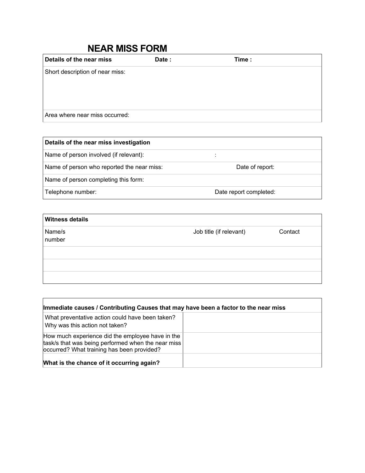### **NEAR MISS FORM**

| Details of the near miss        | Date: | Time: |
|---------------------------------|-------|-------|
| Short description of near miss: |       |       |
|                                 |       |       |
|                                 |       |       |
|                                 |       |       |
| Area where near miss occurred:  |       |       |

| Details of the near miss investigation     |                        |
|--------------------------------------------|------------------------|
| Name of person involved (if relevant):     |                        |
| Name of person who reported the near miss: | Date of report:        |
| Name of person completing this form:       |                        |
| Telephone number:                          | Date report completed: |

| <b>Witness details</b> |                         |         |
|------------------------|-------------------------|---------|
| Name/s<br>number       | Job title (if relevant) | Contact |
|                        |                         |         |
|                        |                         |         |
|                        |                         |         |

| Immediate causes / Contributing Causes that may have been a factor to the near miss                                                                  |  |  |  |  |
|------------------------------------------------------------------------------------------------------------------------------------------------------|--|--|--|--|
| What preventative action could have been taken?<br>Why was this action not taken?                                                                    |  |  |  |  |
| How much experience did the employee have in the<br>task/s that was being performed when the near miss<br>occurred? What training has been provided? |  |  |  |  |
| What is the chance of it occurring again?                                                                                                            |  |  |  |  |

<u> 1980 - Johann Stoff, deutscher Stoffen und der Stoffen und der Stoffen und der Stoffen und der Stoffen und de</u>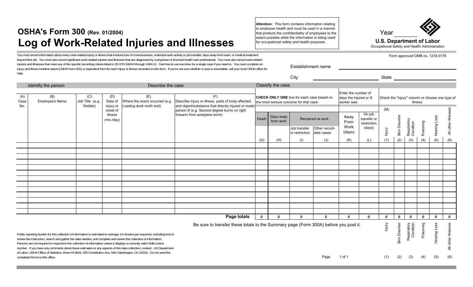## **OSHA's Form 300 (Rev. 01/2004) Log of Work-Related Injuries and Illnesses**

You must record information about every work-related injury or illness that involves loss of consciousness, restricted work activity or job transfer, days away from work, or medical treatment beyond first aid. You must also record significant work-related injuries and illnesses that are diagnosed by a physician or licensed health care professional. You must also record work-related injuries and illnesses that meet any of the specific recording criteria listed in 29 CFR 1904.8 through 1904.12. Feel free to use two lines for a single case if you need to. You must complete an injury and illness incident report (OSHA Form 301) or equivalent form for each injury or illness recorded on this form. If you're not sure whether a case is recordable, call your local OSHA office for help.

| Describe the case<br>Identify the person |                                                                                                                                                                                                                                                                                           |  |                                                                                      | Classify the case                                                                                                                                                                                                                                      |                                                                                         |                                                               |                                                             |                                |                                                 |                                |                                                |               |                  |                          |           |                  |                      |
|------------------------------------------|-------------------------------------------------------------------------------------------------------------------------------------------------------------------------------------------------------------------------------------------------------------------------------------------|--|--------------------------------------------------------------------------------------|--------------------------------------------------------------------------------------------------------------------------------------------------------------------------------------------------------------------------------------------------------|-----------------------------------------------------------------------------------------|---------------------------------------------------------------|-------------------------------------------------------------|--------------------------------|-------------------------------------------------|--------------------------------|------------------------------------------------|---------------|------------------|--------------------------|-----------|------------------|----------------------|
| (A)<br>Case<br>No.                       | (B)<br>(C)<br>(E)<br>(F)<br>(D)<br><b>Employee's Name</b><br>Job Title (e.g.,<br>Date of<br>Describe injury or illness, parts of body affected,<br>Where the event occurred (e.g.<br>Welder)<br>and object/substance that directly injured or made<br>injury or<br>oading dock north end) |  | CHECK ONLY ONE box for each case based on<br>the most serious outcome for that case: |                                                                                                                                                                                                                                                        |                                                                                         | Enter the number of<br>days the injured or ill<br>worker was: | Check the "injury" column or choose one type of<br>illness: |                                |                                                 |                                |                                                |               |                  |                          |           |                  |                      |
|                                          |                                                                                                                                                                                                                                                                                           |  | onset of<br>illness<br>(mo./day)                                                     |                                                                                                                                                                                                                                                        | person ill (e.g. Second degree burns on right<br>forearm from acetylene torch)<br>Death |                                                               | Days away<br>from work                                      | Job transfer<br>or restriction | Remained at work<br>Other record-<br>able cases | Away<br>From<br>Work<br>(days) | On job<br>transfer or<br>restriction<br>(days) | (M)<br>Injury | Skin Disorde     | Respiratory<br>Condition | Poisoning | Hearing Loss     | All other illnesses  |
|                                          |                                                                                                                                                                                                                                                                                           |  |                                                                                      |                                                                                                                                                                                                                                                        |                                                                                         | (G)                                                           | (H)                                                         | (1)                            | (J)                                             | (K)                            | (L)                                            | (1)           | (2)              | (3)                      | (4)       | (5)              | (6)                  |
|                                          |                                                                                                                                                                                                                                                                                           |  |                                                                                      |                                                                                                                                                                                                                                                        |                                                                                         |                                                               |                                                             |                                |                                                 |                                |                                                |               |                  |                          |           |                  |                      |
|                                          |                                                                                                                                                                                                                                                                                           |  |                                                                                      |                                                                                                                                                                                                                                                        |                                                                                         |                                                               |                                                             |                                |                                                 |                                |                                                |               |                  |                          |           |                  |                      |
|                                          |                                                                                                                                                                                                                                                                                           |  |                                                                                      |                                                                                                                                                                                                                                                        |                                                                                         |                                                               |                                                             |                                |                                                 |                                |                                                |               |                  |                          |           |                  |                      |
|                                          |                                                                                                                                                                                                                                                                                           |  |                                                                                      |                                                                                                                                                                                                                                                        |                                                                                         |                                                               |                                                             |                                |                                                 |                                |                                                |               |                  |                          |           |                  |                      |
|                                          |                                                                                                                                                                                                                                                                                           |  |                                                                                      |                                                                                                                                                                                                                                                        |                                                                                         |                                                               |                                                             |                                |                                                 |                                |                                                |               |                  |                          |           |                  |                      |
|                                          |                                                                                                                                                                                                                                                                                           |  |                                                                                      |                                                                                                                                                                                                                                                        |                                                                                         |                                                               |                                                             |                                |                                                 |                                |                                                |               |                  |                          |           |                  |                      |
|                                          |                                                                                                                                                                                                                                                                                           |  |                                                                                      |                                                                                                                                                                                                                                                        |                                                                                         |                                                               |                                                             |                                |                                                 |                                |                                                |               |                  |                          |           |                  |                      |
|                                          |                                                                                                                                                                                                                                                                                           |  |                                                                                      |                                                                                                                                                                                                                                                        |                                                                                         |                                                               |                                                             |                                |                                                 |                                |                                                |               |                  |                          |           |                  |                      |
|                                          |                                                                                                                                                                                                                                                                                           |  |                                                                                      |                                                                                                                                                                                                                                                        |                                                                                         |                                                               |                                                             |                                |                                                 |                                |                                                |               |                  |                          |           |                  |                      |
|                                          |                                                                                                                                                                                                                                                                                           |  |                                                                                      |                                                                                                                                                                                                                                                        |                                                                                         |                                                               |                                                             |                                |                                                 |                                |                                                |               |                  |                          |           |                  |                      |
|                                          |                                                                                                                                                                                                                                                                                           |  |                                                                                      |                                                                                                                                                                                                                                                        |                                                                                         |                                                               |                                                             |                                |                                                 |                                |                                                |               |                  |                          |           |                  |                      |
|                                          |                                                                                                                                                                                                                                                                                           |  |                                                                                      |                                                                                                                                                                                                                                                        |                                                                                         |                                                               |                                                             |                                |                                                 |                                |                                                |               |                  |                          |           |                  |                      |
|                                          |                                                                                                                                                                                                                                                                                           |  |                                                                                      |                                                                                                                                                                                                                                                        | Page totals                                                                             | $\boldsymbol{o}$                                              | 0                                                           | $\boldsymbol{o}$               | 0                                               | $\Omega$                       | 0                                              | 0             | $\boldsymbol{o}$ | $\Omega$                 | 0         | $\boldsymbol{o}$ | $\boldsymbol{o}$     |
|                                          | review the instruction, search and gather the data needed, and complete and review the collection of information.<br>Persons are not required to respond to the collection of information unless it displays a currently valid OMB control                                                |  |                                                                                      | Public reporting burden for this collection of information is estimated to average 14 minutes per response, including time to<br>number. If you have any comments about these estimates or any aspects of this data collection, contact: US Department | Be sure to transfer these totals to the Summary page (Form 300A) before you post it.    |                                                               |                                                             |                                |                                                 |                                |                                                | Injury        | Skin Disorder    | Respiratory<br>Condition | Poisoning | Hearing Loss     | other illnesses<br>₹ |

Persons are not required to respond to the collection of information unless it displays a currently valid OMB control number. If you have any comments about these estimates or any aspects of this data collection, contact: US Department of Labor, OSHA Office of Statistics, Room N-3644, 200 Constitution Ave, NW, Washington, DC 20210. Do not send the completed forms to this office.

**Attention:** This form contains information relating to employee health and must be used in a manner that protects the confidentiality of employees to the extent possible while the information is being used for occupational safety and health purposes. **U.S. Department of Labor**

Establishment name

City **State** 



Page 1 of 1 (1) (2) (3) (4) (5) (6)

Form approved OMB no. 1218-0176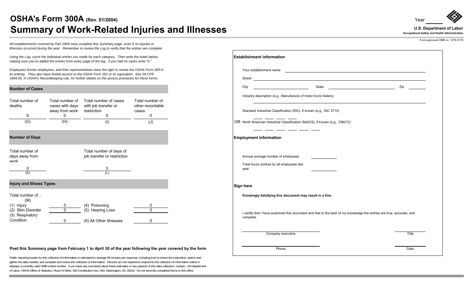### **OSHA's Form 300A (Rev. 01/2004)** Summary of Work-Related Injuries and Illnesses *Depertiment of Labor* **U.S. Department of Labor**

**U.S. Department of Labor**

Year

Form approved OMB no. 1218-0176

*All establishments covered by Part 1904 must complete this Summary page, even if no injuries or illnesses occurred during the year. Remember to review the Log to verify that the entries are complete* 

*Using the Log, count the individual entries you made for each category. Then write the totals below, making sure you've added the entries from every page of the log. If you had no cases write "0."*

*Employees former employees, and their representatives have the right to review the OSHA Form 300 in its entirety. They also have limited access to the OSHA Form 301 or its equivalent. See 29 CFR 1904.35, in OSHA's Recordkeeping rule, for further details on the access provisions for these forms.*

#### **Number of Cases**

| Total number of<br>deaths | Total number of<br>cases with days<br>away from work | Total number of cases<br>with job transfer or<br>restriction | Total number of<br>other recordable<br>cases |    |
|---------------------------|------------------------------------------------------|--------------------------------------------------------------|----------------------------------------------|----|
|                           |                                                      |                                                              |                                              |    |
| (G)                       | (H)                                                  |                                                              |                                              | OR |

#### **Number of Days**

| Total number of<br>days away from<br>work | Total number of days of<br>job transfer or restriction |
|-------------------------------------------|--------------------------------------------------------|
| (K)                                       | (L)                                                    |
| <b>Injury and Illness Types</b>           |                                                        |

#### **Injury and Illness Types**



#### **Post this Summary page from February 1 to April 30 of the year following the year covered by the form**

Public reporting burden for this collection of information is estimated to average 58 minutes per response, including time to review the instruction, search and gather the data needed, and complete and review the collection of information. Persons are not required to respond to the collection of information unless it displays a currently valid OMB control number. If you have any comments about these estimates or any aspects of this data collection, contact: US Department of Labor, OSHA Office of Statistics, Room N-3644, 200 Constitution Ave, NW, Washington, DC 20210. Do not send the completed forms to this office.

| <b>Establishment information</b>                                                                                                      |                                                                                                                      |
|---------------------------------------------------------------------------------------------------------------------------------------|----------------------------------------------------------------------------------------------------------------------|
| Your establishment name                                                                                                               | <u> 1990 - Jan Barat de Barat de la contrada de la contrada de la contrada de la contrada de la contrada de la c</u> |
| Street <u>example and the street</u> and the street street and the street and the street and the street street and the                |                                                                                                                      |
| City                                                                                                                                  | Zip                                                                                                                  |
| Industry description (e.g., Manufacture of motor truck trailers)                                                                      |                                                                                                                      |
| Standard Industrial Classification (SIC), if known (e.g., SIC 3715)                                                                   |                                                                                                                      |
| $\overline{\phantom{a}}$ and $\overline{\phantom{a}}$<br>OR North American Industrial Classification (NAICS), if known (e.g., 336212) |                                                                                                                      |
| _ ___ __ __ __ __<br><b>Employment information</b>                                                                                    |                                                                                                                      |
| Annual average number of employees                                                                                                    |                                                                                                                      |
| Total hours worked by all employees last<br>year                                                                                      |                                                                                                                      |
| Sign here                                                                                                                             |                                                                                                                      |
| Knowingly falsifying this document may result in a fine.                                                                              |                                                                                                                      |
| I certify that I have examined this document and that to the best of my knowledge the entries are true, accurate, and<br>complete.    |                                                                                                                      |
| Company executive                                                                                                                     | Title                                                                                                                |
| Phone                                                                                                                                 | Date                                                                                                                 |

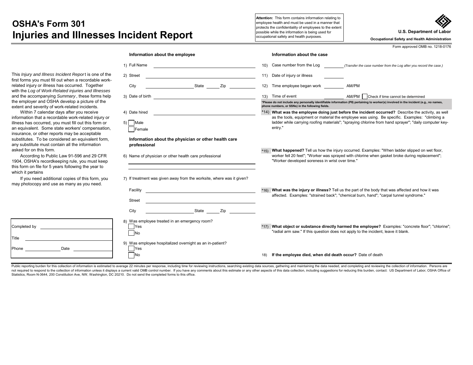### **OSHA's Form 301Injuries and Illnesses Incident Report** surface and the information is being used for the alth purposes.

**Attention:** This form contains information relating to employee health and must be used in a manner that protects the confidentiality of employees to the extent<br>possible while the information is being used for

**U.S. Department of Labor**

**Occupational Safety and Health Administration**

Form approved OMB no. 1218-0176

| This <i>Injury and Illness Incident Report</i> is one of the |
|--------------------------------------------------------------|
| first forms you must fill out when a recordable work-        |
| related injury or illness has occurred. Together             |
| with the Log of Work-Related injuries and Illnesses          |
| and the accompanying Summary, these forms help               |
| the employer and OSHA develop a picture of the               |
| extent and severity of work-related incidents.               |
|                                                              |

 Within 7 calendar days after you receive information that a recordable work-related injury illness has occurred, you must fill out this form an equivalent. Some state workers' compensation insurance, or other reports may be acceptable substitutes. To be considered an equivalent f any substitute must contain all the information asked for on this form.

According to Public Law 91-596 and 29 C 1904, OSHA's recordkeeping rule, you must k this form on file for 5 years following the year which it pertains

If you need additional copies of this form. may photocopy and use as many as you need

Date

Completed by

Phone

Title

|                        | Information about the employee                                                                                                               | Information about the case                                                                                                                                                                              |
|------------------------|----------------------------------------------------------------------------------------------------------------------------------------------|---------------------------------------------------------------------------------------------------------------------------------------------------------------------------------------------------------|
|                        | 1) Full Name<br><u> 1989 - Andrea Barbara, politikar politikar (h. 1989)</u>                                                                 | Case number from the Log<br>10)<br>(Transfer the case number from the Log after you record the case.)                                                                                                   |
| of the<br>work-        | 2) Street                                                                                                                                    | Date of injury or illness<br>11)                                                                                                                                                                        |
| эr                     | City<br><b>State</b> State<br>Zip and the state of the state of the state of the state of the state of the state of the state of the state o | Time employee began work<br>12)<br>AM/PM                                                                                                                                                                |
| esses<br>s help<br>the | 3) Date of birth<br><u> 1980 - Johann Barn, mars ann an t-Amhainn an t-Amhainn an t-Amhainn an t-Amhainn an t-Amhainn an t-Amhainn an</u>    | AM/PM Check if time cannot be determined<br>13) Time of event<br>*Please do not include any personally identifiable information (PII) pertaining to worker(s) involved in the incident (e.g., no names, |
|                        |                                                                                                                                              | phone numbers, or SSNs) in the following fields.                                                                                                                                                        |
| ıry or                 | 4) Date hired                                                                                                                                | *14) What was the employee doing just before the incident occurred? Describe the activity, as well<br>as the tools, equipment or material the employee was using. Be specific. Examples: "climbing a    |
| n or<br>ation,         | 5) Male<br>Female                                                                                                                            | ladder while carrying roofing materials"; "spraying chlorine from hand sprayer"; "daily computer key-<br>entry."                                                                                        |
| orm,<br><b>FR</b>      | Information about the physician or other health care<br>professional<br>6) Name of physician or other health care professional               | What happened? Tell us how the injury occurred. Examples: "When ladder slipped on wet floor,<br>*15)<br>worker fell 20 feet"; "Worker was sprayed with chlorine when gasket broke during replacement";  |
| eep<br>to              |                                                                                                                                              | "Worker developed soreness in wrist over time."                                                                                                                                                         |
| you                    | 7) If treatment was given away from the worksite, where was it given?                                                                        |                                                                                                                                                                                                         |
|                        | Facility                                                                                                                                     | What was the injury or illness? Tell us the part of the body that was affected and how it was<br>$*16$<br>affected. Examples: "strained back"; "chemical burn, hand"; "carpal tunnel syndrome."         |
|                        | <b>Street</b>                                                                                                                                |                                                                                                                                                                                                         |
|                        | City<br>Zip<br>State                                                                                                                         |                                                                                                                                                                                                         |
|                        | 8) Was employee treated in an emergency room?<br>Yes<br><b>No</b>                                                                            | *17) What object or substance directly harmed the employee? Examples: "concrete floor"; "chlorine";<br>"radial arm saw." If this question does not apply to the incident, leave it blank.               |
|                        | 9) Was employee hospitalized overnight as an in-patient?<br>Yes                                                                              |                                                                                                                                                                                                         |
|                        | No                                                                                                                                           | If the employee died, when did death occur? Date of death<br>18)                                                                                                                                        |

Public reporting burden for this collection of information is estimated to average 22 minutes per response, including time for reviewing instructions, searching existing data sources, gathering and maintaining the data nee not required to respond to the collection of information unless it displays a current valid OMB control number. If you have any comments about this estimate or any other aspects of this data collection, including suggestio Statistics, Room N-3644, 200 Constitution Ave, NW, Washington, DC 20210. Do not send the completed forms to this office.